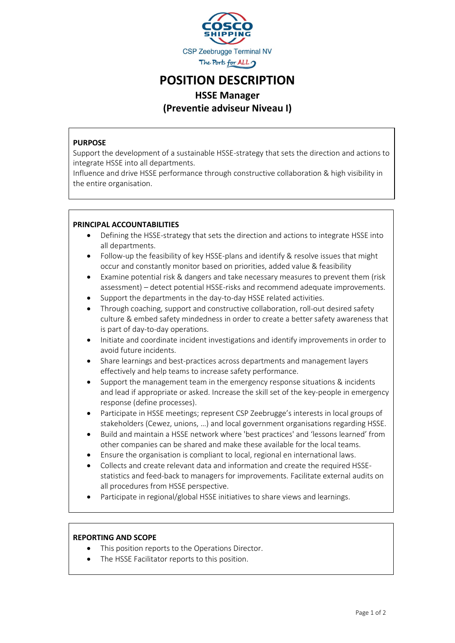

## POSITION DESCRIPTION

### HSSE Manager (Preventie adviseur Niveau I)

#### PURPOSE

Support the development of a sustainable HSSE-strategy that sets the direction and actions to integrate HSSE into all departments.

Influence and drive HSSE performance through constructive collaboration & high visibility in the entire organisation.

#### PRINCIPAL ACCOUNTABILITIES

- Defining the HSSE-strategy that sets the direction and actions to integrate HSSE into all departments.
- Follow-up the feasibility of key HSSE-plans and identify & resolve issues that might occur and constantly monitor based on priorities, added value & feasibility
- Examine potential risk & dangers and take necessary measures to prevent them (risk assessment) – detect potential HSSE-risks and recommend adequate improvements.
- Support the departments in the day-to-day HSSE related activities.
- Through coaching, support and constructive collaboration, roll-out desired safety culture & embed safety mindedness in order to create a better safety awareness that is part of day-to-day operations.
- Initiate and coordinate incident investigations and identify improvements in order to avoid future incidents.
- Share learnings and best-practices across departments and management layers effectively and help teams to increase safety performance.
- Support the management team in the emergency response situations & incidents and lead if appropriate or asked. Increase the skill set of the key-people in emergency response (define processes).
- Participate in HSSE meetings; represent CSP Zeebrugge's interests in local groups of stakeholders (Cewez, unions, …) and local government organisations regarding HSSE.
- Build and maintain a HSSE network where 'best practices' and 'lessons learned' from other companies can be shared and make these available for the local teams.
- Ensure the organisation is compliant to local, regional en international laws.
- Collects and create relevant data and information and create the required HSSEstatistics and feed-back to managers for improvements. Facilitate external audits on all procedures from HSSE perspective.
- Participate in regional/global HSSE initiatives to share views and learnings.

#### REPORTING AND SCOPE

- This position reports to the Operations Director.
- The HSSE Facilitator reports to this position.